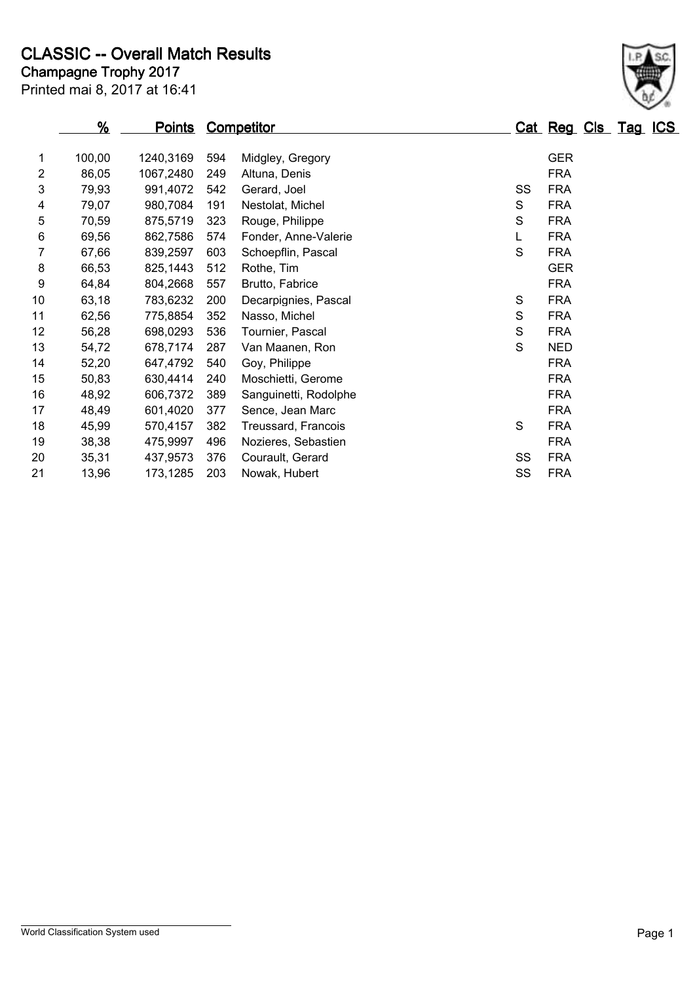## **Champagne Trophy 2017 CLASSIC -- Overall Match Results**

|                | <u>%</u> | <u>Points</u> |     | Competitor            |    | Cat Reg Cls Tag ICS |  |  |
|----------------|----------|---------------|-----|-----------------------|----|---------------------|--|--|
| 1              | 100,00   | 1240,3169     | 594 | Midgley, Gregory      |    | <b>GER</b>          |  |  |
| $\overline{c}$ | 86,05    | 1067,2480     | 249 | Altuna, Denis         |    | <b>FRA</b>          |  |  |
| 3              | 79,93    | 991,4072      | 542 | Gerard, Joel          | SS | <b>FRA</b>          |  |  |
| 4              | 79,07    | 980,7084      | 191 | Nestolat, Michel      | S  | <b>FRA</b>          |  |  |
| 5              | 70,59    | 875,5719      | 323 | Rouge, Philippe       | S  | <b>FRA</b>          |  |  |
| $\,6$          | 69,56    | 862,7586      | 574 | Fonder, Anne-Valerie  |    | <b>FRA</b>          |  |  |
| 7              | 67,66    | 839,2597      | 603 | Schoepflin, Pascal    | S  | <b>FRA</b>          |  |  |
| 8              | 66,53    | 825,1443      | 512 | Rothe, Tim            |    | <b>GER</b>          |  |  |
| 9              | 64,84    | 804,2668      | 557 | Brutto, Fabrice       |    | <b>FRA</b>          |  |  |
| 10             | 63,18    | 783,6232      | 200 | Decarpignies, Pascal  | S  | <b>FRA</b>          |  |  |
| 11             | 62,56    | 775,8854      | 352 | Nasso, Michel         | S  | <b>FRA</b>          |  |  |
| 12             | 56,28    | 698,0293      | 536 | Tournier, Pascal      | S  | <b>FRA</b>          |  |  |
| 13             | 54,72    | 678,7174      | 287 | Van Maanen, Ron       | S  | <b>NED</b>          |  |  |
| 14             | 52,20    | 647,4792      | 540 | Goy, Philippe         |    | <b>FRA</b>          |  |  |
| 15             | 50,83    | 630,4414      | 240 | Moschietti, Gerome    |    | <b>FRA</b>          |  |  |
| 16             | 48,92    | 606,7372      | 389 | Sanguinetti, Rodolphe |    | <b>FRA</b>          |  |  |
| 17             | 48,49    | 601,4020      | 377 | Sence, Jean Marc      |    | <b>FRA</b>          |  |  |
| 18             | 45,99    | 570,4157      | 382 | Treussard, Francois   | S  | <b>FRA</b>          |  |  |
| 19             | 38,38    | 475,9997      | 496 | Nozieres, Sebastien   |    | <b>FRA</b>          |  |  |
| 20             | 35,31    | 437,9573      | 376 | Courault, Gerard      | SS | <b>FRA</b>          |  |  |
| 21             | 13,96    | 173,1285      | 203 | Nowak, Hubert         | SS | <b>FRA</b>          |  |  |

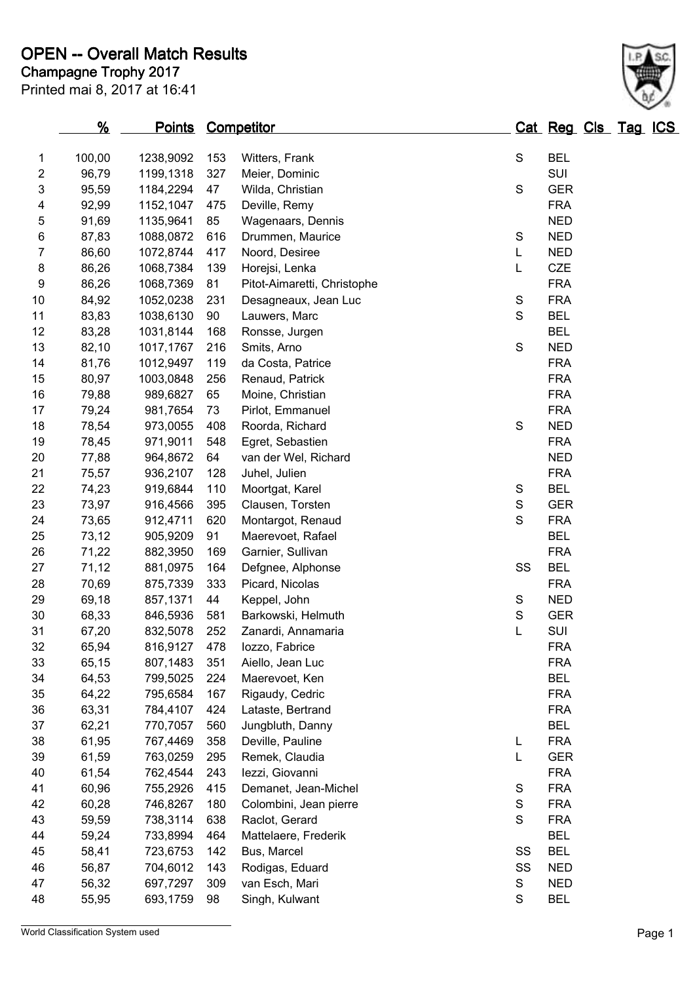|    | <u>%</u> | <u>Points</u> |     | <b>Competitor</b>                     |               | Cat Reg Cls Tag ICS |  |  |
|----|----------|---------------|-----|---------------------------------------|---------------|---------------------|--|--|
| 1  | 100,00   | 1238,9092     | 153 | Witters, Frank                        | S             | <b>BEL</b>          |  |  |
| 2  | 96,79    | 1199,1318     | 327 | Meier, Dominic                        |               | SUI                 |  |  |
| 3  | 95,59    | 1184,2294     | 47  | Wilda, Christian                      | S             | <b>GER</b>          |  |  |
| 4  | 92,99    | 1152,1047     | 475 | Deville, Remy                         |               | <b>FRA</b>          |  |  |
| 5  | 91,69    | 1135,9641     | 85  | Wagenaars, Dennis                     |               | <b>NED</b>          |  |  |
| 6  | 87,83    | 1088,0872     | 616 | Drummen, Maurice                      | S             | <b>NED</b>          |  |  |
| 7  | 86,60    | 1072,8744     | 417 | Noord, Desiree                        | L             | <b>NED</b>          |  |  |
| 8  | 86,26    | 1068,7384     | 139 | Horejsi, Lenka                        | L             | <b>CZE</b>          |  |  |
| 9  | 86,26    | 1068,7369     | 81  | Pitot-Aimaretti, Christophe           |               | <b>FRA</b>          |  |  |
| 10 | 84,92    | 1052,0238     | 231 |                                       | S             | <b>FRA</b>          |  |  |
| 11 | 83,83    | 1038,6130     | 90  | Desagneaux, Jean Luc<br>Lauwers, Marc | S             | <b>BEL</b>          |  |  |
| 12 | 83,28    |               | 168 |                                       |               | <b>BEL</b>          |  |  |
| 13 |          | 1031,8144     |     | Ronsse, Jurgen                        | S             | <b>NED</b>          |  |  |
|    | 82,10    | 1017,1767     | 216 | Smits, Arno                           |               |                     |  |  |
| 14 | 81,76    | 1012,9497     | 119 | da Costa, Patrice                     |               | <b>FRA</b>          |  |  |
| 15 | 80,97    | 1003,0848     | 256 | Renaud, Patrick                       |               | <b>FRA</b>          |  |  |
| 16 | 79,88    | 989,6827      | 65  | Moine, Christian                      |               | <b>FRA</b>          |  |  |
| 17 | 79,24    | 981,7654      | 73  | Pirlot, Emmanuel                      |               | <b>FRA</b>          |  |  |
| 18 | 78,54    | 973,0055      | 408 | Roorda, Richard                       | S             | <b>NED</b>          |  |  |
| 19 | 78,45    | 971,9011      | 548 | Egret, Sebastien                      |               | <b>FRA</b>          |  |  |
| 20 | 77,88    | 964,8672      | 64  | van der Wel, Richard                  |               | <b>NED</b>          |  |  |
| 21 | 75,57    | 936,2107      | 128 | Juhel, Julien                         |               | <b>FRA</b>          |  |  |
| 22 | 74,23    | 919,6844      | 110 | Moortgat, Karel                       | S             | <b>BEL</b>          |  |  |
| 23 | 73,97    | 916,4566      | 395 | Clausen, Torsten                      | $\mathsf S$   | <b>GER</b>          |  |  |
| 24 | 73,65    | 912,4711      | 620 | Montargot, Renaud                     | S             | <b>FRA</b>          |  |  |
| 25 | 73,12    | 905,9209      | 91  | Maerevoet, Rafael                     |               | <b>BEL</b>          |  |  |
| 26 | 71,22    | 882,3950      | 169 | Garnier, Sullivan                     |               | <b>FRA</b>          |  |  |
| 27 | 71,12    | 881,0975      | 164 | Defgnee, Alphonse                     | SS            | <b>BEL</b>          |  |  |
| 28 | 70,69    | 875,7339      | 333 | Picard, Nicolas                       |               | <b>FRA</b>          |  |  |
| 29 | 69,18    | 857,1371      | 44  | Keppel, John                          | $\mathbf S$   | <b>NED</b>          |  |  |
| 30 | 68,33    | 846,5936      | 581 | Barkowski, Helmuth                    | S             | <b>GER</b>          |  |  |
| 31 | 67,20    | 832,5078      | 252 | Zanardi, Annamaria                    | L             | SUI                 |  |  |
| 32 | 65,94    | 816,9127      | 478 | lozzo, Fabrice                        |               | <b>FRA</b>          |  |  |
| 33 | 65,15    | 807,1483      | 351 | Aiello, Jean Luc                      |               | <b>FRA</b>          |  |  |
| 34 | 64,53    | 799,5025      | 224 | Maerevoet, Ken                        |               | <b>BEL</b>          |  |  |
| 35 | 64,22    | 795,6584      | 167 | Rigaudy, Cedric                       |               | <b>FRA</b>          |  |  |
| 36 | 63,31    | 784,4107      | 424 | Lataste, Bertrand                     |               | <b>FRA</b>          |  |  |
| 37 | 62,21    | 770,7057      | 560 | Jungbluth, Danny                      |               | <b>BEL</b>          |  |  |
| 38 | 61,95    | 767,4469      | 358 | Deville, Pauline                      | L             | <b>FRA</b>          |  |  |
| 39 | 61,59    | 763,0259      | 295 | Remek, Claudia                        | L             | <b>GER</b>          |  |  |
| 40 | 61,54    | 762,4544      | 243 | lezzi, Giovanni                       |               | <b>FRA</b>          |  |  |
| 41 | 60,96    | 755,2926      | 415 | Demanet, Jean-Michel                  | S             | <b>FRA</b>          |  |  |
| 42 | 60,28    | 746,8267      | 180 | Colombini, Jean pierre                | $\mathbf S$   | <b>FRA</b>          |  |  |
| 43 | 59,59    | 738,3114      | 638 | Raclot, Gerard                        | S             | <b>FRA</b>          |  |  |
| 44 | 59,24    | 733,8994      | 464 | Mattelaere, Frederik                  |               | <b>BEL</b>          |  |  |
| 45 | 58,41    | 723,6753      | 142 | Bus, Marcel                           | SS            | <b>BEL</b>          |  |  |
| 46 | 56,87    | 704,6012      | 143 | Rodigas, Eduard                       | SS            | <b>NED</b>          |  |  |
| 47 | 56,32    | 697,7297      | 309 | van Esch, Mari                        | ${\mathsf S}$ | <b>NED</b>          |  |  |
| 48 | 55,95    | 693,1759      | 98  | Singh, Kulwant                        | $\mathbf S$   | <b>BEL</b>          |  |  |
|    |          |               |     |                                       |               |                     |  |  |

World Classification System used **Page 1** 

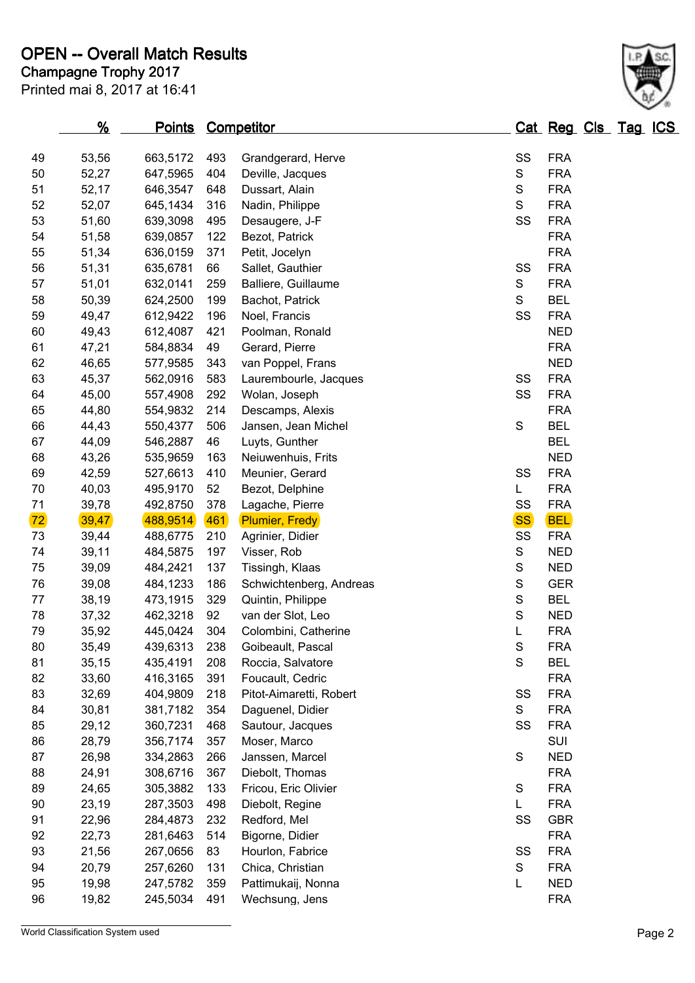|    | %      | <u>Points</u> |     | <b>Competitor</b>               |               | Cat Reg Cls Tag ICS |  |  |
|----|--------|---------------|-----|---------------------------------|---------------|---------------------|--|--|
| 49 | 53,56  | 663,5172      | 493 | Grandgerard, Herve              | SS            | <b>FRA</b>          |  |  |
| 50 | 52,27  | 647,5965      | 404 | Deville, Jacques                | ${\mathsf S}$ | <b>FRA</b>          |  |  |
| 51 | 52,17  | 646,3547      | 648 | ${\mathsf S}$<br>Dussart, Alain |               | <b>FRA</b>          |  |  |
| 52 | 52,07  | 645,1434      | 316 | Nadin, Philippe                 | S             | <b>FRA</b>          |  |  |
| 53 | 51,60  | 639,3098      | 495 | Desaugere, J-F                  | SS            | <b>FRA</b>          |  |  |
| 54 | 51,58  | 639,0857      | 122 | Bezot, Patrick                  |               | <b>FRA</b>          |  |  |
| 55 | 51,34  | 636,0159      | 371 | Petit, Jocelyn                  |               | <b>FRA</b>          |  |  |
| 56 | 51,31  | 635,6781      | 66  | Sallet, Gauthier                | SS            | <b>FRA</b>          |  |  |
| 57 | 51,01  | 632,0141      | 259 | Balliere, Guillaume             | S             | <b>FRA</b>          |  |  |
| 58 | 50,39  | 624,2500      | 199 | Bachot, Patrick                 | $\mathbf S$   | <b>BEL</b>          |  |  |
| 59 | 49,47  | 612,9422      | 196 | Noel, Francis                   | SS            | <b>FRA</b>          |  |  |
| 60 | 49,43  | 612,4087      | 421 | Poolman, Ronald                 |               | <b>NED</b>          |  |  |
| 61 | 47,21  | 584,8834      | 49  | Gerard, Pierre                  |               | <b>FRA</b>          |  |  |
| 62 | 46,65  | 577,9585      | 343 | van Poppel, Frans               |               | <b>NED</b>          |  |  |
| 63 | 45,37  | 562,0916      | 583 | Laurembourle, Jacques           | SS            | <b>FRA</b>          |  |  |
| 64 | 45,00  | 557,4908      | 292 | Wolan, Joseph                   | SS            | <b>FRA</b>          |  |  |
| 65 | 44,80  | 554,9832      | 214 | Descamps, Alexis                |               | <b>FRA</b>          |  |  |
| 66 | 44,43  | 550,4377      | 506 | Jansen, Jean Michel             | $\mathbf S$   | <b>BEL</b>          |  |  |
| 67 | 44,09  | 546,2887      | 46  | Luyts, Gunther                  |               | <b>BEL</b>          |  |  |
| 68 | 43,26  | 535,9659      | 163 | Neiuwenhuis, Frits              |               | <b>NED</b>          |  |  |
| 69 | 42,59  | 527,6613      | 410 | Meunier, Gerard                 | SS            | <b>FRA</b>          |  |  |
| 70 | 40,03  | 495,9170      | 52  | Bezot, Delphine                 | L             | <b>FRA</b>          |  |  |
| 71 | 39,78  | 492,8750      | 378 | Lagache, Pierre                 | SS            | <b>FRA</b>          |  |  |
| 72 | 39,47  | 488,9514      | 461 | <b>Plumier, Fredy</b>           | <b>SS</b>     | <b>BEL</b>          |  |  |
| 73 | 39,44  | 488,6775      | 210 | Agrinier, Didier                | SS            | <b>FRA</b>          |  |  |
| 74 | 39,11  | 484,5875      | 197 | Visser, Rob                     | ${\mathsf S}$ | <b>NED</b>          |  |  |
| 75 | 39,09  | 484,2421      | 137 | Tissingh, Klaas                 | $\mathbb S$   | <b>NED</b>          |  |  |
| 76 | 39,08  | 484,1233      | 186 | Schwichtenberg, Andreas         | $\mathsf S$   | <b>GER</b>          |  |  |
| 77 | 38,19  | 473,1915      | 329 | Quintin, Philippe               | S             | <b>BEL</b>          |  |  |
| 78 | 37,32  | 462,3218      | 92  | van der Slot, Leo               | $\mathsf S$   | <b>NED</b>          |  |  |
| 79 | 35,92  | 445,0424      | 304 | Colombini, Catherine            | L             | <b>FRA</b>          |  |  |
| 80 | 35,49  | 439,6313      | 238 | Goibeault, Pascal               | S             | <b>FRA</b>          |  |  |
| 81 | 35, 15 | 435,4191      | 208 | Roccia, Salvatore               | S             | <b>BEL</b>          |  |  |
| 82 | 33,60  | 416,3165      | 391 | Foucault, Cedric                |               | <b>FRA</b>          |  |  |
| 83 | 32,69  | 404,9809      | 218 | Pitot-Aimaretti, Robert         | SS            | <b>FRA</b>          |  |  |
| 84 | 30,81  | 381,7182      | 354 | Daguenel, Didier                | S             | <b>FRA</b>          |  |  |
| 85 | 29,12  | 360,7231      | 468 | Sautour, Jacques                | SS            | <b>FRA</b>          |  |  |
| 86 | 28,79  | 356,7174      | 357 | Moser, Marco                    |               | SUI                 |  |  |
| 87 | 26,98  | 334,2863      | 266 | Janssen, Marcel                 | $\mathbf S$   | <b>NED</b>          |  |  |
| 88 | 24,91  | 308,6716      | 367 | Diebolt, Thomas                 |               | <b>FRA</b>          |  |  |
| 89 | 24,65  | 305,3882      | 133 | Fricou, Eric Olivier            | $\mathbf S$   | <b>FRA</b>          |  |  |
| 90 | 23,19  | 287,3503      | 498 | Diebolt, Regine                 | L             | <b>FRA</b>          |  |  |
| 91 | 22,96  | 284,4873      | 232 | Redford, Mel                    | SS            | <b>GBR</b>          |  |  |
| 92 | 22,73  | 281,6463      | 514 | Bigorne, Didier                 |               | <b>FRA</b>          |  |  |
| 93 | 21,56  | 267,0656      | 83  | Hourlon, Fabrice                | SS            | <b>FRA</b>          |  |  |
| 94 | 20,79  | 257,6260      | 131 | Chica, Christian                | ${\mathsf S}$ | <b>FRA</b>          |  |  |
| 95 | 19,98  | 247,5782      | 359 | Pattimukaij, Nonna              | L             | <b>NED</b>          |  |  |
| 96 | 19,82  | 245,5034      | 491 | Wechsung, Jens                  |               | <b>FRA</b>          |  |  |

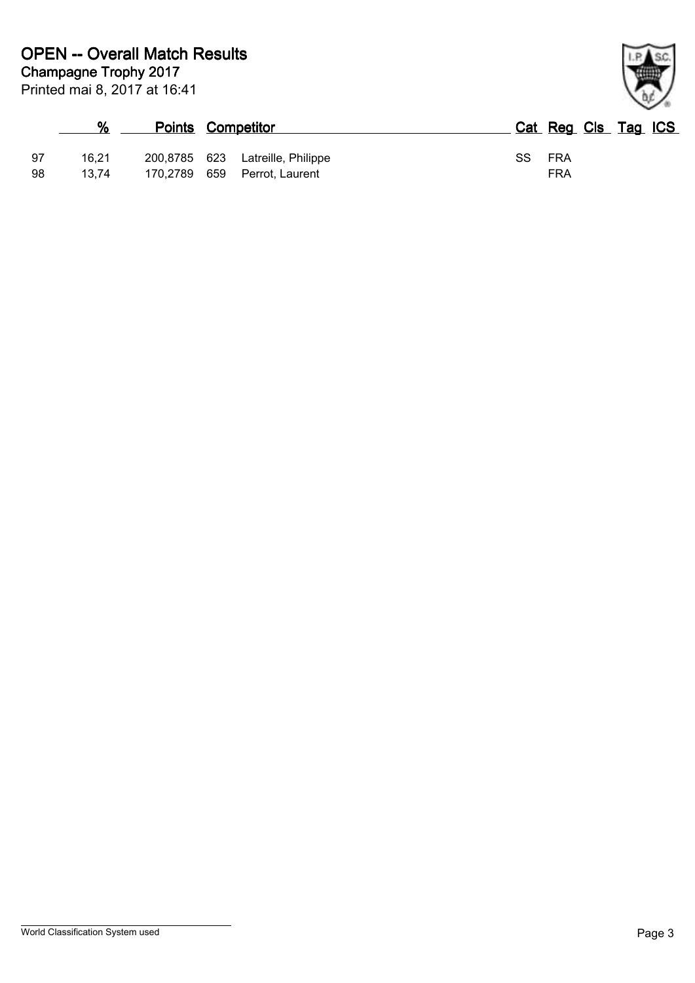|    | %     | <b>Points Competitor</b> |                                  |     | Cat Reg Cls Tag ICS |  |
|----|-------|--------------------------|----------------------------------|-----|---------------------|--|
| 97 | 16.21 |                          | 200,8785 623 Latreille, Philippe | SS. | FRA                 |  |
| 98 | 13.74 | 170,2789 659             | Perrot, Laurent                  |     | <b>FRA</b>          |  |

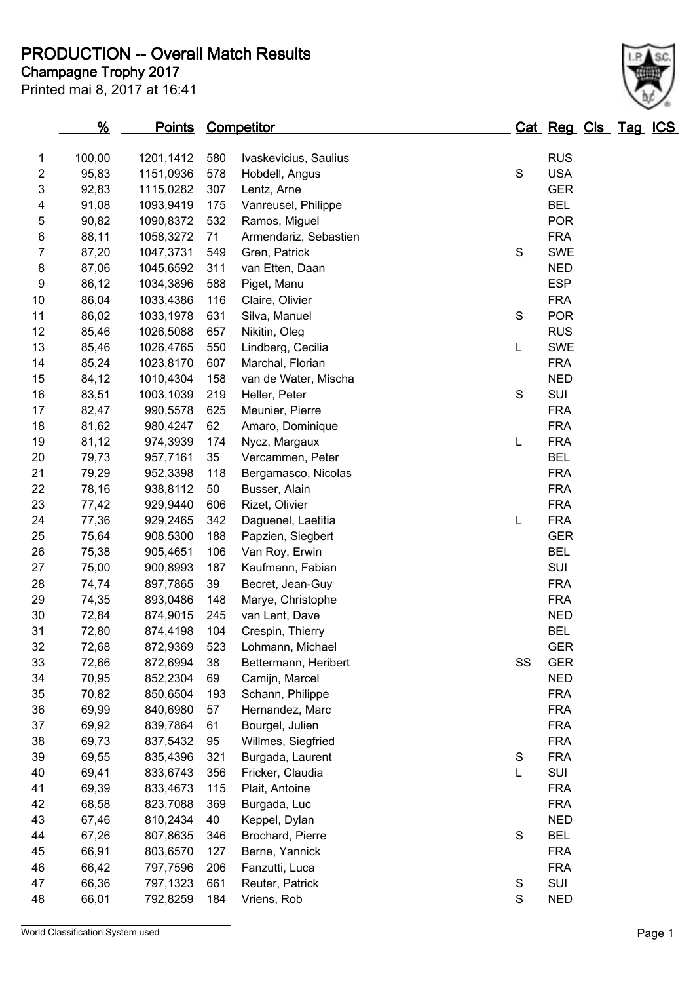#### **Champagne Trophy 2017 PRODUCTION -- Overall Match Results**

Printed mai 8, 2017 at 16:41

#### **% Points Competitor Cat Reg Cls Tag ICS** 100,00 1201,1412 580 Ivaskevicius, Saulius RUS 2 95.83 1151.0936 578 Hobdell, Angus S S USA 92,83 1115,0282 307 Lentz, Arne GER 91,08 1093,9419 175 Vanreusel, Philippe BEL 90,82 1090,8372 532 Ramos, Miguel POR 88,11 1058,3272 71 Armendariz, Sebastien FRA 87,20 1047,3731 549 Gren, Patrick S SWE 8 87,06 1045,6592 311 van Etten, Daan NED 86,12 1034,3896 588 Piget, Manu ESP 86,04 1033,4386 116 Claire, Olivier FRA 86,02 1033,1978 631 Silva, Manuel S POR 85,46 1026,5088 657 Nikitin, Oleg RUS 85,46 1026,4765 550 Lindberg, Cecilia L SWE 85,24 1023,8170 607 Marchal, Florian FRA 15 84,12 1010,4304 158 van de Water, Mischa NED 83,51 1003,1039 219 Heller, Peter S SUI 82,47 990,5578 625 Meunier, Pierre FRA 81,62 980,4247 62 Amaro, Dominique FRA 81,12 974,3939 174 Nycz, Margaux L FRA 79,73 957,7161 35 Vercammen, Peter BEL 79,29 952,3398 118 Bergamasco, Nicolas FRA 78,16 938,8112 50 Busser, Alain FRA 77,42 929,9440 606 Rizet, Olivier FRA 77,36 929,2465 342 Daguenel, Laetitia L FRA 75,64 908,5300 188 Papzien, Siegbert GER 75,38 905,4651 106 Van Roy, Erwin BEL 27 75,00 900,8993 187 Kaufmann, Fabian SUI 74,74 897,7865 39 Becret, Jean-Guy FRA 74,35 893,0486 148 Marye, Christophe FRA 72,84 874,9015 245 van Lent, Dave NED 72,80 874,4198 104 Crespin, Thierry BEL 72,68 872,9369 523 Lohmann, Michael GER 72,66 872,6994 38 Bettermann, Heribert SS GER 70,95 852,2304 69 Camijn, Marcel NED 70,82 850,6504 193 Schann, Philippe FRA 69,99 840,6980 57 Hernandez, Marc FRA 69,92 839,7864 61 Bourgel, Julien FRA

 69,73 837,5432 95 Willmes, Siegfried FRA 69,55 835,4396 321 Burgada, Laurent S FRA 69,41 833,6743 356 Fricker, Claudia L SUI 69,39 833,4673 115 Plait, Antoine FRA 68,58 823,7088 369 Burgada, Luc FRA 43 67,46 810,2434 40 Keppel, Dylan NED 67,26 807,8635 346 Brochard, Pierre S BEL 66,91 803,6570 127 Berne, Yannick FRA 66,42 797,7596 206 Fanzutti, Luca FRA 66,36 797,1323 661 Reuter, Patrick S SUI 66,01 792,8259 184 Vriens, Rob S NED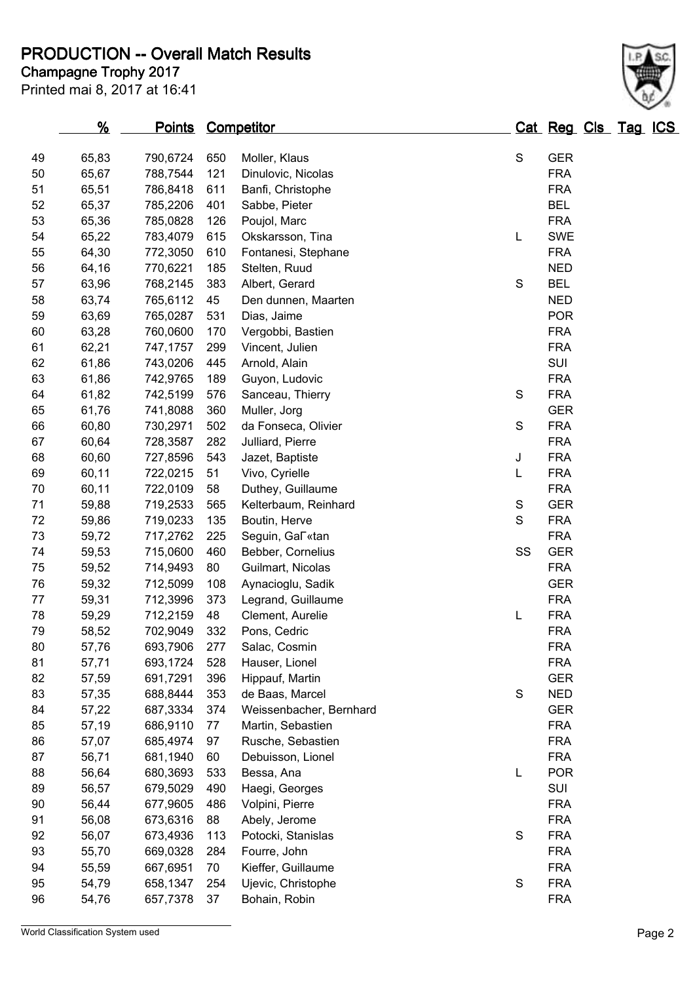**PRODUCTION -- Overall Match Results**

Printed mai 8, 2017 at 16:41

# **Champagne Trophy 2017**

|    | <u>%</u> | <b>Points Competitor</b> |     |                                         |               | Cat Reg Cls Tag ICS |  |  |
|----|----------|--------------------------|-----|-----------------------------------------|---------------|---------------------|--|--|
| 49 | 65,83    | 790,6724                 | 650 |                                         | $\mathbf S$   | <b>GER</b>          |  |  |
| 50 | 65,67    |                          | 121 | Moller, Klaus                           |               | <b>FRA</b>          |  |  |
| 51 |          | 788,7544                 |     | Dinulovic, Nicolas<br>Banfi, Christophe |               | <b>FRA</b>          |  |  |
|    | 65,51    | 786,8418                 | 611 |                                         |               |                     |  |  |
| 52 | 65,37    | 785,2206                 | 401 | Sabbe, Pieter                           |               | <b>BEL</b>          |  |  |
| 53 | 65,36    | 785,0828                 | 126 | Poujol, Marc                            |               | <b>FRA</b>          |  |  |
| 54 | 65,22    | 783,4079                 | 615 | Okskarsson, Tina                        | L             | <b>SWE</b>          |  |  |
| 55 | 64,30    | 772,3050                 | 610 | Fontanesi, Stephane                     |               | <b>FRA</b>          |  |  |
| 56 | 64,16    | 770,6221                 | 185 | Stelten, Ruud                           |               | <b>NED</b>          |  |  |
| 57 | 63,96    | 768,2145                 | 383 | Albert, Gerard                          | S             | <b>BEL</b>          |  |  |
| 58 | 63,74    | 765,6112                 | 45  | Den dunnen, Maarten                     |               | <b>NED</b>          |  |  |
| 59 | 63,69    | 765,0287                 | 531 | Dias, Jaime                             |               | <b>POR</b>          |  |  |
| 60 | 63,28    | 760,0600                 | 170 | Vergobbi, Bastien                       |               | <b>FRA</b>          |  |  |
| 61 | 62,21    | 747,1757                 | 299 | Vincent, Julien                         |               | <b>FRA</b>          |  |  |
| 62 | 61,86    | 743,0206                 | 445 | Arnold, Alain                           |               | SUI                 |  |  |
| 63 | 61,86    | 742,9765                 | 189 | Guyon, Ludovic                          |               | <b>FRA</b>          |  |  |
| 64 | 61,82    | 742,5199                 | 576 | Sanceau, Thierry                        | $\mathbf S$   | <b>FRA</b>          |  |  |
| 65 | 61,76    | 741,8088                 | 360 | Muller, Jorg                            |               | <b>GER</b>          |  |  |
| 66 | 60,80    | 730,2971                 | 502 | da Fonseca, Olivier                     | S             | <b>FRA</b>          |  |  |
| 67 | 60,64    | 728,3587                 | 282 | Julliard, Pierre                        |               | <b>FRA</b>          |  |  |
| 68 | 60,60    | 727,8596                 | 543 | Jazet, Baptiste                         | J             | <b>FRA</b>          |  |  |
| 69 | 60,11    | 722,0215                 | 51  | Vivo, Cyrielle                          | L             | <b>FRA</b>          |  |  |
| 70 | 60,11    | 722,0109                 | 58  | Duthey, Guillaume                       |               | <b>FRA</b>          |  |  |
| 71 | 59,88    | 719,2533                 | 565 | Kelterbaum, Reinhard                    | S             | <b>GER</b>          |  |  |
| 72 | 59,86    | 719,0233                 | 135 | Boutin, Herve                           | S             | <b>FRA</b>          |  |  |
| 73 | 59,72    | 717,2762                 | 225 | Seguin, Gal «tan                        |               | <b>FRA</b>          |  |  |
| 74 | 59,53    | 715,0600                 | 460 | Bebber, Cornelius                       | SS            | <b>GER</b>          |  |  |
| 75 | 59,52    | 714,9493                 | 80  | Guilmart, Nicolas                       |               | <b>FRA</b>          |  |  |
| 76 | 59,32    | 712,5099                 | 108 | Aynacioglu, Sadik                       |               | <b>GER</b>          |  |  |
| 77 | 59,31    | 712,3996                 | 373 | Legrand, Guillaume                      |               | <b>FRA</b>          |  |  |
| 78 | 59,29    | 712,2159                 | 48  | Clement, Aurelie                        | L             | <b>FRA</b>          |  |  |
| 79 | 58,52    | 702,9049                 | 332 | Pons, Cedric                            |               | <b>FRA</b>          |  |  |
| 80 | 57,76    | 693,7906                 | 277 | Salac, Cosmin                           |               | <b>FRA</b>          |  |  |
| 81 | 57,71    | 693,1724                 | 528 | Hauser, Lionel                          |               | <b>FRA</b>          |  |  |
| 82 | 57,59    | 691,7291                 | 396 | Hippauf, Martin                         |               | <b>GER</b>          |  |  |
| 83 | 57,35    | 688,8444                 | 353 | de Baas, Marcel                         | $\mathbf S$   | <b>NED</b>          |  |  |
| 84 | 57,22    | 687,3334                 | 374 | Weissenbacher, Bernhard                 |               | <b>GER</b>          |  |  |
| 85 | 57,19    | 686,9110                 | 77  | Martin, Sebastien                       |               | <b>FRA</b>          |  |  |
| 86 | 57,07    | 685,4974                 | 97  | Rusche, Sebastien                       |               | <b>FRA</b>          |  |  |
| 87 | 56,71    | 681,1940                 | 60  | Debuisson, Lionel                       |               | <b>FRA</b>          |  |  |
| 88 | 56,64    | 680,3693                 | 533 | Bessa, Ana                              | L             | <b>POR</b>          |  |  |
| 89 | 56,57    | 679,5029                 | 490 | Haegi, Georges                          |               | SUI                 |  |  |
| 90 | 56,44    | 677,9605                 | 486 | Volpini, Pierre                         |               | <b>FRA</b>          |  |  |
| 91 | 56,08    | 673,6316                 | 88  | Abely, Jerome                           |               | <b>FRA</b>          |  |  |
| 92 | 56,07    | 673,4936                 | 113 | Potocki, Stanislas                      | $\mathbf S$   | <b>FRA</b>          |  |  |
| 93 | 55,70    | 669,0328                 | 284 | Fourre, John                            |               | <b>FRA</b>          |  |  |
| 94 | 55,59    | 667,6951                 | 70  | Kieffer, Guillaume                      |               | <b>FRA</b>          |  |  |
| 95 | 54,79    | 658,1347                 | 254 | Ujevic, Christophe                      | ${\mathsf S}$ | <b>FRA</b>          |  |  |
| 96 | 54,76    | 657,7378                 | 37  | Bohain, Robin                           |               | <b>FRA</b>          |  |  |
|    |          |                          |     |                                         |               |                     |  |  |



World Classification System used **Page 2**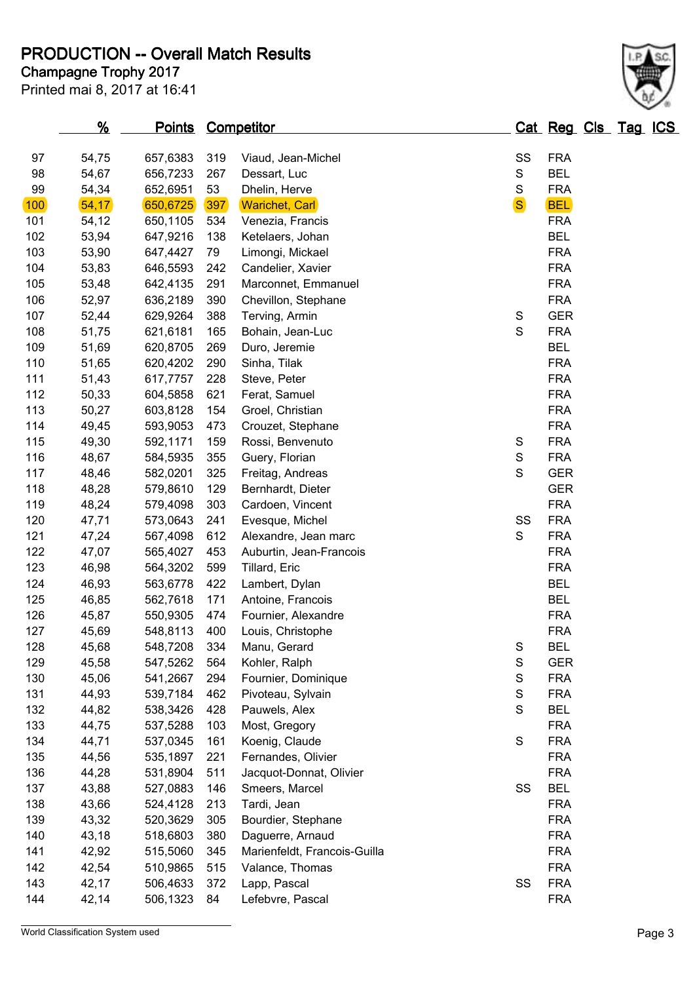# **PRODUCTION -- Overall Match Results**

Printed mai 8, 2017 at 16:41 **Champagne Trophy 2017**

#### World Classification System used **Page 3**

| 97  | 54,75 | 657,6383 | 319 | Viaud, Jean-Michel           | SS             | <b>FRA</b> |
|-----|-------|----------|-----|------------------------------|----------------|------------|
| 98  | 54,67 | 656,7233 | 267 | Dessart, Luc                 | $\mathbb S$    | <b>BEL</b> |
| 99  | 54,34 | 652,6951 | 53  | Dhelin, Herve                | $\mathbf S$    | <b>FRA</b> |
| 100 | 54,17 | 650,6725 | 397 | <b>Warichet, Carl</b>        | S <sup>b</sup> | <b>BEL</b> |
| 101 | 54,12 | 650,1105 | 534 | Venezia, Francis             |                | <b>FRA</b> |
| 102 | 53,94 | 647,9216 | 138 | Ketelaers, Johan             |                | <b>BEL</b> |
| 103 | 53,90 | 647,4427 | 79  | Limongi, Mickael             |                | <b>FRA</b> |
| 104 | 53,83 | 646,5593 | 242 | Candelier, Xavier            |                | <b>FRA</b> |
| 105 | 53,48 | 642,4135 | 291 | Marconnet, Emmanuel          |                | <b>FRA</b> |
| 106 | 52,97 | 636,2189 | 390 | Chevillon, Stephane          |                | <b>FRA</b> |
| 107 | 52,44 | 629,9264 | 388 | Terving, Armin               | ${\mathbb S}$  | <b>GER</b> |
| 108 | 51,75 | 621,6181 | 165 | Bohain, Jean-Luc             | $\mathbf S$    | <b>FRA</b> |
| 109 | 51,69 | 620,8705 | 269 | Duro, Jeremie                |                | <b>BEL</b> |
| 110 | 51,65 | 620,4202 | 290 | Sinha, Tilak                 |                | <b>FRA</b> |
| 111 | 51,43 | 617,7757 | 228 | Steve, Peter                 |                | <b>FRA</b> |
| 112 | 50,33 | 604,5858 | 621 | Ferat, Samuel                |                | <b>FRA</b> |
| 113 | 50,27 | 603,8128 | 154 | Groel, Christian             |                | <b>FRA</b> |
| 114 | 49,45 | 593,9053 | 473 | Crouzet, Stephane            |                | <b>FRA</b> |
| 115 | 49,30 | 592,1171 | 159 | Rossi, Benvenuto             | ${\mathbb S}$  | <b>FRA</b> |
| 116 | 48,67 | 584,5935 | 355 | Guery, Florian               | $\mathbf S$    | <b>FRA</b> |
| 117 | 48,46 | 582,0201 | 325 | Freitag, Andreas             | $\mathsf S$    | <b>GER</b> |
| 118 | 48,28 | 579,8610 | 129 | Bernhardt, Dieter            |                | <b>GER</b> |
| 119 | 48,24 | 579,4098 | 303 | Cardoen, Vincent             |                | <b>FRA</b> |
| 120 | 47,71 | 573,0643 | 241 | Evesque, Michel              | SS             | <b>FRA</b> |
| 121 | 47,24 | 567,4098 | 612 | Alexandre, Jean marc         | S              | <b>FRA</b> |
| 122 | 47,07 | 565,4027 | 453 | Auburtin, Jean-Francois      |                | <b>FRA</b> |
| 123 | 46,98 | 564,3202 | 599 | Tillard, Eric                |                | <b>FRA</b> |
| 124 | 46,93 | 563,6778 | 422 | Lambert, Dylan               |                | <b>BEL</b> |
| 125 | 46,85 | 562,7618 | 171 | Antoine, Francois            |                | <b>BEL</b> |
| 126 | 45,87 | 550,9305 | 474 | Fournier, Alexandre          |                | <b>FRA</b> |
| 127 | 45,69 | 548,8113 | 400 | Louis, Christophe            |                | <b>FRA</b> |
| 128 | 45,68 | 548,7208 | 334 | Manu, Gerard                 | S              | <b>BEL</b> |
| 129 | 45,58 | 547,5262 | 564 | Kohler, Ralph                | S              | <b>GER</b> |
| 130 | 45,06 | 541,2667 | 294 | Fournier, Dominique          | S              | <b>FRA</b> |
| 131 | 44,93 | 539,7184 | 462 | Pivoteau, Sylvain            | $\mathbf S$    | <b>FRA</b> |
| 132 | 44,82 | 538,3426 | 428 | Pauwels, Alex                | $\mathsf S$    | <b>BEL</b> |
| 133 | 44,75 | 537,5288 | 103 | Most, Gregory                |                | <b>FRA</b> |
| 134 | 44,71 | 537,0345 | 161 | Koenig, Claude               | $\mathsf S$    | <b>FRA</b> |
| 135 | 44,56 | 535,1897 | 221 | Fernandes, Olivier           |                | <b>FRA</b> |
| 136 | 44,28 | 531,8904 | 511 | Jacquot-Donnat, Olivier      |                | <b>FRA</b> |
| 137 | 43,88 | 527,0883 | 146 | Smeers, Marcel               | SS             | <b>BEL</b> |
| 138 | 43,66 | 524,4128 | 213 | Tardi, Jean                  |                | <b>FRA</b> |
| 139 | 43,32 | 520,3629 | 305 | Bourdier, Stephane           |                | <b>FRA</b> |
| 140 | 43,18 | 518,6803 | 380 | Daguerre, Arnaud             |                | <b>FRA</b> |
| 141 | 42,92 | 515,5060 | 345 | Marienfeldt, Francois-Guilla |                | <b>FRA</b> |
| 142 | 42,54 | 510,9865 | 515 | Valance, Thomas              |                | <b>FRA</b> |
| 143 | 42,17 | 506,4633 | 372 | Lapp, Pascal                 | SS             | <b>FRA</b> |
| 144 | 42,14 | 506,1323 | 84  | Lefebvre, Pascal             |                | <b>FRA</b> |

**% Points Competitor Cat Reg Cls Tag ICS**

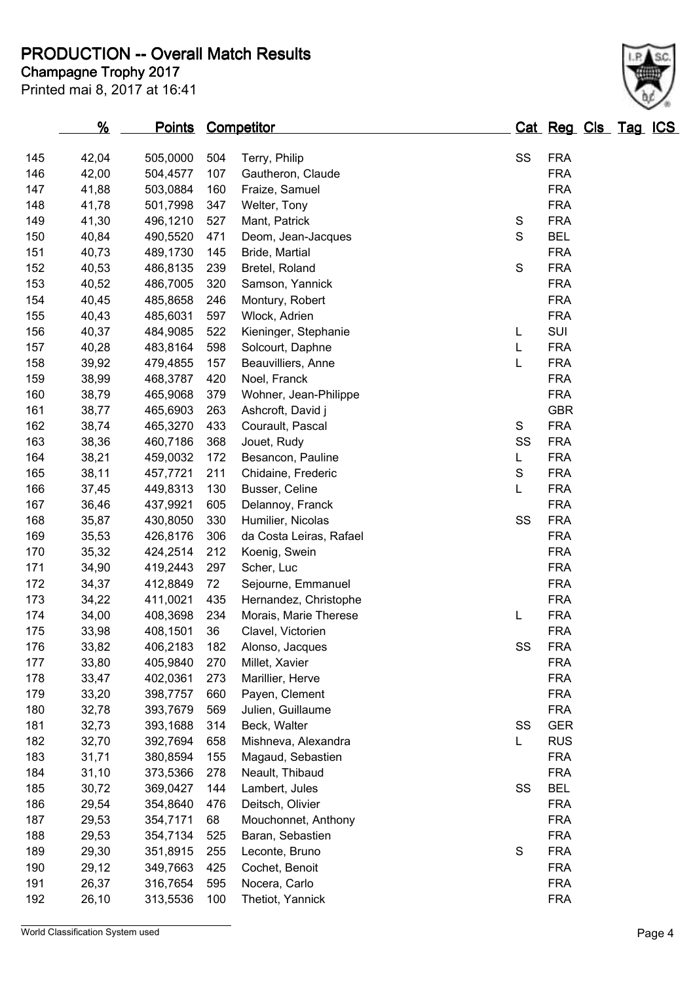#### **Champagne Trophy 2017 PRODUCTION -- Overall Match Results**

| 145 | 42,04 | 505,0000 | 504 | Terry, Philip           | SS          | <b>FRA</b> |
|-----|-------|----------|-----|-------------------------|-------------|------------|
| 146 | 42,00 | 504,4577 | 107 | Gautheron, Claude       |             | <b>FRA</b> |
| 147 | 41,88 | 503,0884 | 160 | Fraize, Samuel          |             | <b>FRA</b> |
| 148 | 41,78 | 501,7998 | 347 | Welter, Tony            |             | <b>FRA</b> |
| 149 | 41,30 | 496,1210 | 527 | Mant, Patrick           | S           | <b>FRA</b> |
| 150 | 40,84 | 490,5520 | 471 | Deom, Jean-Jacques      | $\mathbf S$ | <b>BEL</b> |
| 151 | 40,73 | 489,1730 | 145 | Bride, Martial          |             | <b>FRA</b> |
| 152 | 40,53 | 486,8135 | 239 | Bretel, Roland          | S           | <b>FRA</b> |
| 153 | 40,52 | 486,7005 | 320 | Samson, Yannick         |             | <b>FRA</b> |
| 154 | 40,45 | 485,8658 | 246 | Montury, Robert         |             | <b>FRA</b> |
| 155 | 40,43 | 485,6031 | 597 | Wlock, Adrien           |             | <b>FRA</b> |
| 156 | 40,37 | 484,9085 | 522 | Kieninger, Stephanie    | L.          | SUI        |
| 157 | 40,28 | 483,8164 | 598 | Solcourt, Daphne        | L           | <b>FRA</b> |
| 158 | 39,92 | 479,4855 | 157 | Beauvilliers, Anne      | L           | <b>FRA</b> |
| 159 | 38,99 | 468,3787 | 420 | Noel, Franck            |             | <b>FRA</b> |
| 160 | 38,79 | 465,9068 | 379 | Wohner, Jean-Philippe   |             | <b>FRA</b> |
| 161 | 38,77 | 465,6903 | 263 | Ashcroft, David j       |             | <b>GBR</b> |
| 162 | 38,74 | 465,3270 | 433 | Courault, Pascal        | S           | <b>FRA</b> |
| 163 | 38,36 | 460,7186 | 368 | Jouet, Rudy             | SS          | <b>FRA</b> |
| 164 | 38,21 | 459,0032 | 172 | Besancon, Pauline       | L.          | <b>FRA</b> |
| 165 | 38,11 | 457,7721 | 211 | Chidaine, Frederic      | S           | <b>FRA</b> |
| 166 | 37,45 | 449,8313 | 130 | Busser, Celine          | L           | <b>FRA</b> |
| 167 | 36,46 | 437,9921 | 605 | Delannoy, Franck        |             | <b>FRA</b> |
| 168 | 35,87 | 430,8050 | 330 | Humilier, Nicolas       | SS          | <b>FRA</b> |
| 169 | 35,53 | 426,8176 | 306 | da Costa Leiras, Rafael |             | <b>FRA</b> |
| 170 | 35,32 | 424,2514 | 212 | Koenig, Swein           |             | <b>FRA</b> |
| 171 | 34,90 | 419,2443 | 297 | Scher, Luc              |             | <b>FRA</b> |
| 172 | 34,37 | 412,8849 | 72  | Sejourne, Emmanuel      |             | <b>FRA</b> |
| 173 | 34,22 | 411,0021 | 435 | Hernandez, Christophe   |             | <b>FRA</b> |
| 174 | 34,00 | 408,3698 | 234 | Morais, Marie Therese   | Г           | <b>FRA</b> |
| 175 | 33,98 | 408,1501 | 36  | Clavel, Victorien       |             | <b>FRA</b> |
| 176 | 33,82 | 406,2183 | 182 | Alonso, Jacques         | SS          | <b>FRA</b> |
| 177 | 33,80 | 405,9840 | 270 | Millet, Xavier          |             | <b>FRA</b> |
| 178 | 33,47 | 402,0361 | 273 | Marillier, Herve        |             | <b>FRA</b> |
| 179 | 33,20 | 398,7757 | 660 | Payen, Clement          |             | <b>FRA</b> |
| 180 | 32,78 | 393,7679 | 569 | Julien, Guillaume       |             | <b>FRA</b> |
| 181 | 32,73 | 393,1688 | 314 | Beck, Walter            | SS          | <b>GER</b> |
| 182 | 32,70 | 392,7694 | 658 | Mishneva, Alexandra     | L           | <b>RUS</b> |
| 183 | 31,71 | 380,8594 | 155 | Magaud, Sebastien       |             | <b>FRA</b> |
| 184 | 31,10 | 373,5366 | 278 | Neault, Thibaud         |             | <b>FRA</b> |
| 185 | 30,72 | 369,0427 | 144 | Lambert, Jules          | SS          | <b>BEL</b> |
| 186 | 29,54 | 354,8640 | 476 | Deitsch, Olivier        |             | <b>FRA</b> |
| 187 | 29,53 | 354,7171 | 68  | Mouchonnet, Anthony     |             | <b>FRA</b> |
| 188 | 29,53 | 354,7134 | 525 | Baran, Sebastien        |             | <b>FRA</b> |
| 189 | 29,30 | 351,8915 | 255 | Leconte, Bruno          | S           | <b>FRA</b> |
| 190 | 29,12 | 349,7663 | 425 | Cochet, Benoit          |             | <b>FRA</b> |
| 191 | 26,37 | 316,7654 | 595 | Nocera, Carlo           |             | <b>FRA</b> |
| 192 | 26,10 | 313,5536 | 100 | Thetiot, Yannick        |             | <b>FRA</b> |
|     |       |          |     |                         |             |            |
|     |       |          |     |                         |             |            |

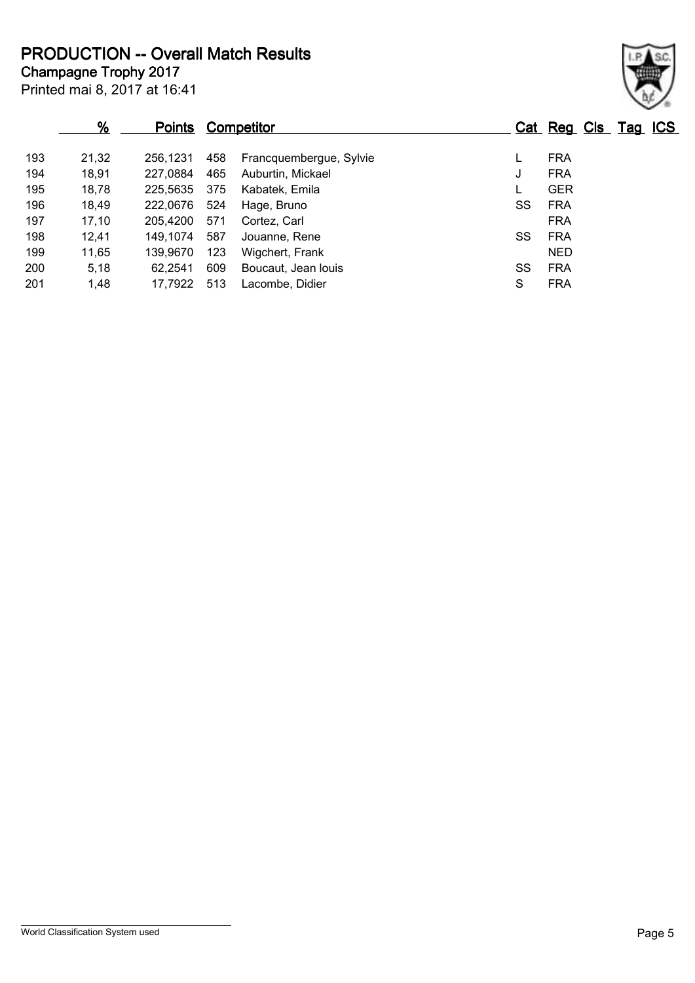**Champagne Trophy 2017 PRODUCTION -- Overall Match Results**

Printed mai 8, 2017 at 16:41

|     |       |               |     |                         |    |                     |  | $\sim$ $\sim$ 0. |
|-----|-------|---------------|-----|-------------------------|----|---------------------|--|------------------|
|     | %     | <b>Points</b> |     | <b>Competitor</b>       |    | Cat Reg Cls Tag ICS |  |                  |
| 193 | 21,32 | 256.1231      | 458 | Francquembergue, Sylvie |    | <b>FRA</b>          |  |                  |
| 194 | 18,91 | 227,0884      | 465 | Auburtin, Mickael       | J  | <b>FRA</b>          |  |                  |
| 195 | 18,78 | 225.5635      | 375 | Kabatek, Emila          |    | <b>GER</b>          |  |                  |
| 196 | 18,49 | 222.0676      | 524 | Hage, Bruno             | SS | <b>FRA</b>          |  |                  |
| 197 | 17,10 | 205.4200      | 571 | Cortez, Carl            |    | <b>FRA</b>          |  |                  |
| 198 | 12,41 | 149.1074      | 587 | Jouanne, Rene           | SS | <b>FRA</b>          |  |                  |
| 199 | 11,65 | 139.9670      | 123 | Wigchert, Frank         |    | NED.                |  |                  |
| 200 | 5,18  | 62.2541       | 609 | Boucaut, Jean Iouis     | SS | <b>FRA</b>          |  |                  |

1,48 17,7922 513 Lacombe, Didier S FRA

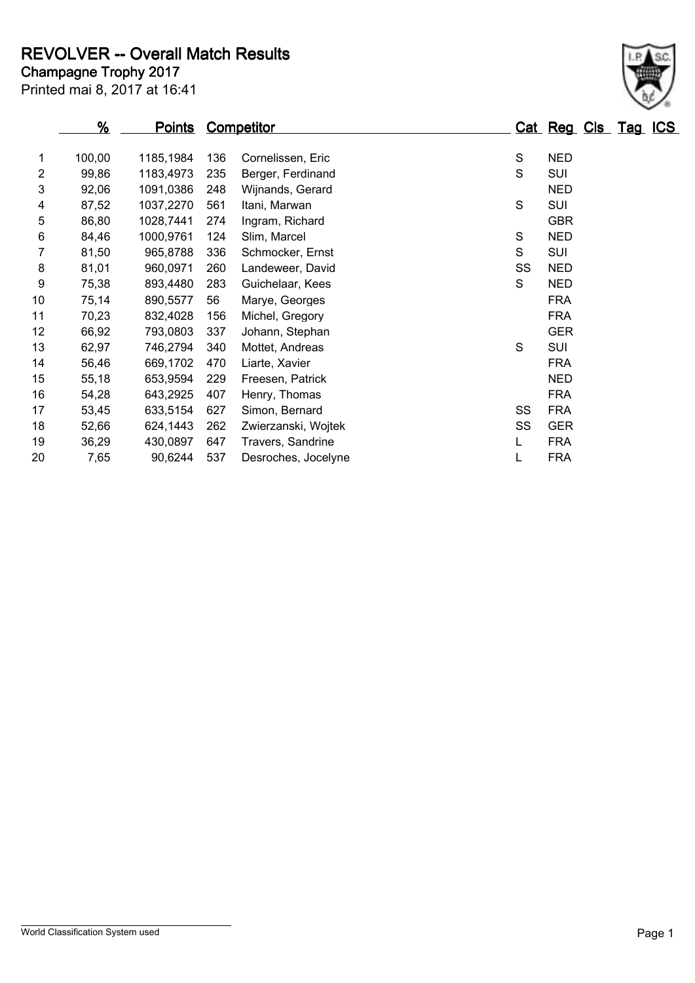#### **Champagne Trophy 2017 REVOLVER -- Overall Match Results**

|   |        | Printed mai 8, 2017 at 16:41 |     |                   |   |            |                     |  |
|---|--------|------------------------------|-----|-------------------|---|------------|---------------------|--|
|   | %      | <b>Points Competitor</b>     |     |                   |   |            | Cat Reg Cls Tag ICS |  |
|   | 100.00 | 1185.1984                    | 136 | Cornelissen, Eric | S | <b>NED</b> |                     |  |
| 2 | 99,86  | 1183.4973                    | 235 | Berger, Ferdinand | S | SUI        |                     |  |
| 3 | 92,06  | 1091.0386                    | 248 | Wijnands, Gerard  |   | <b>NED</b> |                     |  |
| 4 | 87,52  | 1037,2270                    | 561 | Itani, Marwan     | S | SUI        |                     |  |
| 5 | 86.80  | 1028,7441                    | 274 | Ingram, Richard   |   | <b>GBR</b> |                     |  |

 92,06 1091,0386 248 Wijnands, Gerard NED 87,52 1037,2270 561 Itani, Marwan S SUI 86,80 1028,7441 274 Ingram, Richard GBR 84,46 1000,9761 124 Slim, Marcel S NED 81,50 965,8788 336 Schmocker, Ernst S SUI 8 81,01 960,0971 260 Landeweer, David SS NED 9 75,38 893,4480 283 Guichelaar, Kees S S NED 75,14 890,5577 56 Marye, Georges FRA 70,23 832,4028 156 Michel, Gregory FRA 66,92 793,0803 337 Johann, Stephan GER 13 62,97 746,2794 340 Mottet, Andreas S SUI 56,46 669,1702 470 Liarte, Xavier FRA 55,18 653,9594 229 Freesen, Patrick NED 54,28 643,2925 407 Henry, Thomas FRA 17 53,45 633,5154 627 Simon, Bernard SS FRA 52,66 624,1443 262 Zwierzanski, Wojtek SS GER 36,29 430,0897 647 Travers, Sandrine L FRA

7,65 90,6244 537 Desroches, Jocelyne L FRA

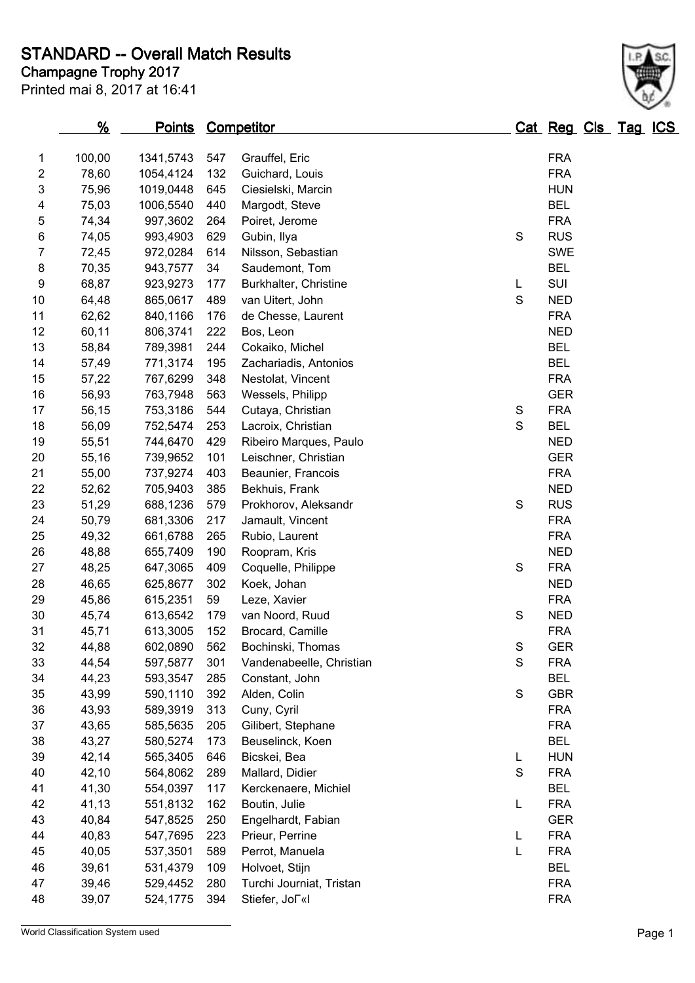# **STANDARD -- Overall Match Results**

Printed mai 8, 2017 at 16:41

# **Champagne Trophy 2017**

|                         | $\frac{9}{6}$ | <u>Points</u> |     | <b>Competitor</b>                                |               | Cat Reg Cls Tag ICS |  |  |
|-------------------------|---------------|---------------|-----|--------------------------------------------------|---------------|---------------------|--|--|
| 1                       | 100,00        | 1341,5743     | 547 | Grauffel, Eric                                   |               | <b>FRA</b>          |  |  |
| $\overline{\mathbf{c}}$ | 78,60         | 1054,4124     | 132 | Guichard, Louis                                  |               | <b>FRA</b>          |  |  |
| 3                       | 75,96         | 1019,0448     | 645 | Ciesielski, Marcin                               |               | <b>HUN</b>          |  |  |
| 4                       | 75,03         | 1006,5540     | 440 | Margodt, Steve                                   |               | <b>BEL</b>          |  |  |
| 5                       | 74,34         | 997,3602      | 264 | Poiret, Jerome                                   |               | <b>FRA</b>          |  |  |
| $\,6$                   | 74,05         | 993,4903      | 629 | Gubin, Ilya                                      | $\mathbf S$   | <b>RUS</b>          |  |  |
| 7                       | 72,45         | 972,0284      | 614 | Nilsson, Sebastian                               |               | <b>SWE</b>          |  |  |
| 8                       | 70,35         | 943,7577      | 34  | Saudemont, Tom                                   |               | <b>BEL</b>          |  |  |
| 9                       | 68,87         | 923,9273      | 177 | Burkhalter, Christine                            | L             | SUI                 |  |  |
| 10                      | 64,48         | 865,0617      | 489 | van Uitert, John                                 | $\mathbf S$   | <b>NED</b>          |  |  |
| 11                      | 62,62         | 840,1166      | 176 | de Chesse, Laurent                               |               | <b>FRA</b>          |  |  |
| 12                      | 60,11         | 806,3741      | 222 | Bos, Leon                                        |               | <b>NED</b>          |  |  |
| 13                      | 58,84         | 789,3981      | 244 | Cokaiko, Michel                                  |               | <b>BEL</b>          |  |  |
| 14                      | 57,49         | 771,3174      | 195 | Zachariadis, Antonios                            |               | <b>BEL</b>          |  |  |
| 15                      | 57,22         | 767,6299      | 348 | Nestolat, Vincent                                |               | <b>FRA</b>          |  |  |
| 16                      | 56,93         | 763,7948      | 563 | Wessels, Philipp                                 |               | <b>GER</b>          |  |  |
| 17                      | 56,15         | 753,3186      | 544 | Cutaya, Christian                                | ${\mathsf S}$ | <b>FRA</b>          |  |  |
| 18                      | 56,09         | 752,5474      | 253 | Lacroix, Christian                               | $\mathbf S$   | <b>BEL</b>          |  |  |
| 19                      | 55,51         | 744,6470      | 429 | Ribeiro Marques, Paulo                           |               | <b>NED</b>          |  |  |
| 20                      | 55,16         | 739,9652      | 101 | Leischner, Christian                             |               | <b>GER</b>          |  |  |
| 21                      | 55,00         | 737,9274      | 403 | Beaunier, Francois                               |               | <b>FRA</b>          |  |  |
| 22                      | 52,62         | 705,9403      | 385 | Bekhuis, Frank                                   |               | <b>NED</b>          |  |  |
| 23                      | 51,29         | 688,1236      | 579 | Prokhorov, Aleksandr                             | $\mathbf S$   | <b>RUS</b>          |  |  |
| 24                      | 50,79         | 681,3306      | 217 | Jamault, Vincent                                 |               | <b>FRA</b>          |  |  |
| 25                      | 49,32         | 661,6788      | 265 | Rubio, Laurent                                   |               | <b>FRA</b>          |  |  |
| 26                      | 48,88         | 655,7409      | 190 | Roopram, Kris                                    |               | <b>NED</b>          |  |  |
| 27                      | 48,25         | 647,3065      | 409 | Coquelle, Philippe                               | ${\mathsf S}$ | <b>FRA</b>          |  |  |
| 28                      | 46,65         | 625,8677      | 302 | Koek, Johan                                      |               | <b>NED</b>          |  |  |
| 29                      | 45,86         | 615,2351      | 59  | Leze, Xavier                                     |               | <b>FRA</b>          |  |  |
| 30                      | 45,74         | 613,6542      | 179 | van Noord, Ruud                                  | S             | <b>NED</b>          |  |  |
| 31                      | 45,71         | 613,3005      | 152 | Brocard, Camille                                 |               | <b>FRA</b>          |  |  |
| 32                      | 44,88         | 602,0890      | 562 | Bochinski, Thomas                                | S             | <b>GER</b>          |  |  |
| 33                      | 44,54         | 597,5877      | 301 | Vandenabeelle, Christian                         | $\mathbf S$   | <b>FRA</b>          |  |  |
| 34                      | 44,23         | 593,3547      | 285 | Constant, John                                   |               | <b>BEL</b>          |  |  |
| 35                      | 43,99         | 590,1110      | 392 | Alden, Colin                                     | ${\mathsf S}$ | <b>GBR</b>          |  |  |
| 36                      | 43,93         | 589,3919      | 313 | Cuny, Cyril                                      |               | <b>FRA</b>          |  |  |
| 37                      | 43,65         | 585,5635      | 205 | Gilibert, Stephane                               |               | <b>FRA</b>          |  |  |
| 38                      | 43,27         | 580,5274      | 173 | Beuselinck, Koen                                 |               | <b>BEL</b>          |  |  |
| 39                      | 42,14         | 565,3405      | 646 | Bicskei, Bea                                     | L             | <b>HUN</b>          |  |  |
| 40                      | 42,10         | 564,8062      | 289 | Mallard, Didier                                  | S             | <b>FRA</b>          |  |  |
| 41                      | 41,30         | 554,0397      | 117 | Kerckenaere, Michiel                             |               | <b>BEL</b>          |  |  |
| 42                      | 41,13         | 551,8132      | 162 | Boutin, Julie                                    | L             | <b>FRA</b>          |  |  |
| 43                      | 40,84         | 547,8525      | 250 | Engelhardt, Fabian                               |               | <b>GER</b>          |  |  |
| 44                      | 40,83         | 547,7695      | 223 | <b>FRA</b><br>L<br>Prieur, Perrine               |               |                     |  |  |
| 45                      | 40,05         | 537,3501      | 589 | L<br><b>FRA</b><br>Perrot, Manuela               |               |                     |  |  |
| 46                      | 39,61         | 531,4379      | 109 | Holvoet, Stijn                                   |               | <b>BEL</b>          |  |  |
| 47                      | 39,46         | 529,4452      | 280 | Turchi Journiat, Tristan<br><b>FRA</b>           |               |                     |  |  |
| 48                      | 39,07         | 524,1775      | 394 | <b>FRA</b><br>Stiefer, Jo $\lceil \kappa \rceil$ |               |                     |  |  |



World Classification System used **Page 1**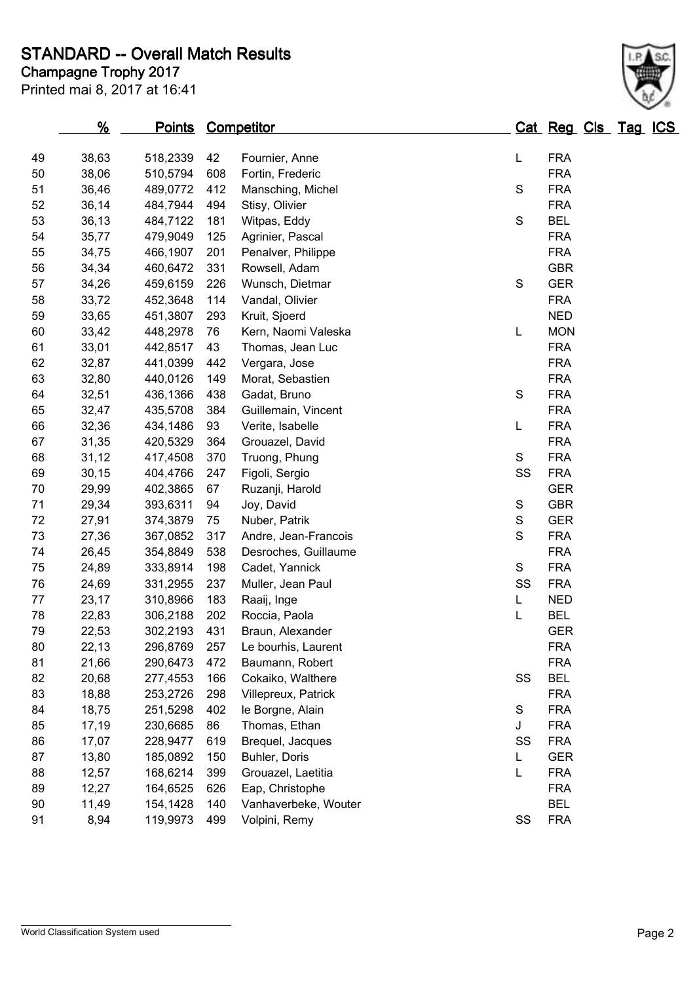### **Champagne Trophy 2017 STANDARD -- Overall Match Results**

|    | $\frac{9}{6}$ | <b>Points Competitor</b> |     |                        |               | Cat Reg Cls Tag ICS |  |  |
|----|---------------|--------------------------|-----|------------------------|---------------|---------------------|--|--|
| 49 | 38,63         | 518,2339                 | 42  | Fournier, Anne         | L             | <b>FRA</b>          |  |  |
| 50 | 38,06         | 510,5794                 | 608 | Fortin, Frederic       |               | <b>FRA</b>          |  |  |
| 51 | 36,46         | 489,0772                 | 412 | Mansching, Michel<br>S |               | <b>FRA</b>          |  |  |
| 52 | 36,14         | 484,7944                 | 494 | Stisy, Olivier         |               | <b>FRA</b>          |  |  |
| 53 | 36,13         | 484,7122                 | 181 | Witpas, Eddy           | S             | <b>BEL</b>          |  |  |
| 54 | 35,77         | 479,9049                 | 125 | Agrinier, Pascal       |               | <b>FRA</b>          |  |  |
| 55 | 34,75         | 466,1907                 | 201 | Penalver, Philippe     |               | <b>FRA</b>          |  |  |
| 56 | 34,34         | 460,6472                 | 331 | Rowsell, Adam          |               | <b>GBR</b>          |  |  |
| 57 | 34,26         | 459,6159                 | 226 | Wunsch, Dietmar        | S             | <b>GER</b>          |  |  |
| 58 | 33,72         | 452,3648                 | 114 | Vandal, Olivier        |               | <b>FRA</b>          |  |  |
| 59 | 33,65         | 451,3807                 | 293 | Kruit, Sjoerd          |               | <b>NED</b>          |  |  |
| 60 | 33,42         | 448,2978                 | 76  | Kern, Naomi Valeska    | L             | <b>MON</b>          |  |  |
| 61 | 33,01         | 442,8517                 | 43  | Thomas, Jean Luc       |               | <b>FRA</b>          |  |  |
| 62 | 32,87         | 441,0399                 | 442 | Vergara, Jose          |               | <b>FRA</b>          |  |  |
| 63 | 32,80         | 440,0126                 | 149 | Morat, Sebastien       |               | <b>FRA</b>          |  |  |
| 64 | 32,51         | 436,1366                 | 438 | Gadat, Bruno           | S             | <b>FRA</b>          |  |  |
| 65 | 32,47         | 435,5708                 | 384 | Guillemain, Vincent    |               | <b>FRA</b>          |  |  |
| 66 | 32,36         | 434,1486                 | 93  | Verite, Isabelle       | L             | <b>FRA</b>          |  |  |
| 67 | 31,35         | 420,5329                 | 364 | Grouazel, David        |               | <b>FRA</b>          |  |  |
| 68 | 31,12         | 417,4508                 | 370 | Truong, Phung          | S             | <b>FRA</b>          |  |  |
| 69 | 30, 15        | 404,4766                 | 247 | Figoli, Sergio         | SS            | <b>FRA</b>          |  |  |
| 70 | 29,99         | 402,3865                 | 67  | Ruzanji, Harold        |               | <b>GER</b>          |  |  |
| 71 | 29,34         | 393,6311                 | 94  | Joy, David             | S             | <b>GBR</b>          |  |  |
| 72 | 27,91         | 374,3879                 | 75  | Nuber, Patrik          | ${\mathsf S}$ | <b>GER</b>          |  |  |
| 73 | 27,36         | 367,0852                 | 317 | Andre, Jean-Francois   | S             | <b>FRA</b>          |  |  |
| 74 | 26,45         | 354,8849                 | 538 | Desroches, Guillaume   |               | <b>FRA</b>          |  |  |
| 75 | 24,89         | 333,8914                 | 198 | Cadet, Yannick         | S             | <b>FRA</b>          |  |  |
| 76 | 24,69         | 331,2955                 | 237 | Muller, Jean Paul      | SS            | <b>FRA</b>          |  |  |
| 77 | 23,17         | 310,8966                 | 183 | Raaij, Inge            | L             | <b>NED</b>          |  |  |
| 78 | 22,83         | 306,2188                 | 202 | Roccia, Paola          | L             | <b>BEL</b>          |  |  |
| 79 | 22,53         | 302,2193                 | 431 | Braun, Alexander       |               | <b>GER</b>          |  |  |
| 80 | 22,13         | 296,8769                 | 257 | Le bourhis, Laurent    |               | <b>FRA</b>          |  |  |
| 81 | 21,66         | 290,6473                 | 472 | Baumann, Robert        |               | <b>FRA</b>          |  |  |
| 82 | 20,68         | 277,4553                 | 166 | Cokaiko, Walthere      | SS            | <b>BEL</b>          |  |  |
| 83 | 18,88         | 253,2726                 | 298 | Villepreux, Patrick    |               | <b>FRA</b>          |  |  |
| 84 | 18,75         | 251,5298                 | 402 | le Borgne, Alain       | S             | <b>FRA</b>          |  |  |
| 85 | 17,19         | 230,6685                 | 86  | Thomas, Ethan          | J             | <b>FRA</b>          |  |  |
| 86 | 17,07         | 228,9477                 | 619 | Brequel, Jacques       | SS            | <b>FRA</b>          |  |  |
| 87 | 13,80         | 185,0892                 | 150 | Buhler, Doris          | L             | <b>GER</b>          |  |  |
| 88 | 12,57         | 168,6214                 | 399 | Grouazel, Laetitia     | L             | <b>FRA</b>          |  |  |
| 89 | 12,27         | 164,6525                 | 626 | Eap, Christophe        |               | <b>FRA</b>          |  |  |
| 90 | 11,49         | 154,1428                 | 140 | Vanhaverbeke, Wouter   |               | <b>BEL</b>          |  |  |
| 91 | 8,94          | 119,9973                 | 499 | Volpini, Remy          | SS            | <b>FRA</b>          |  |  |
|    |               |                          |     |                        |               |                     |  |  |